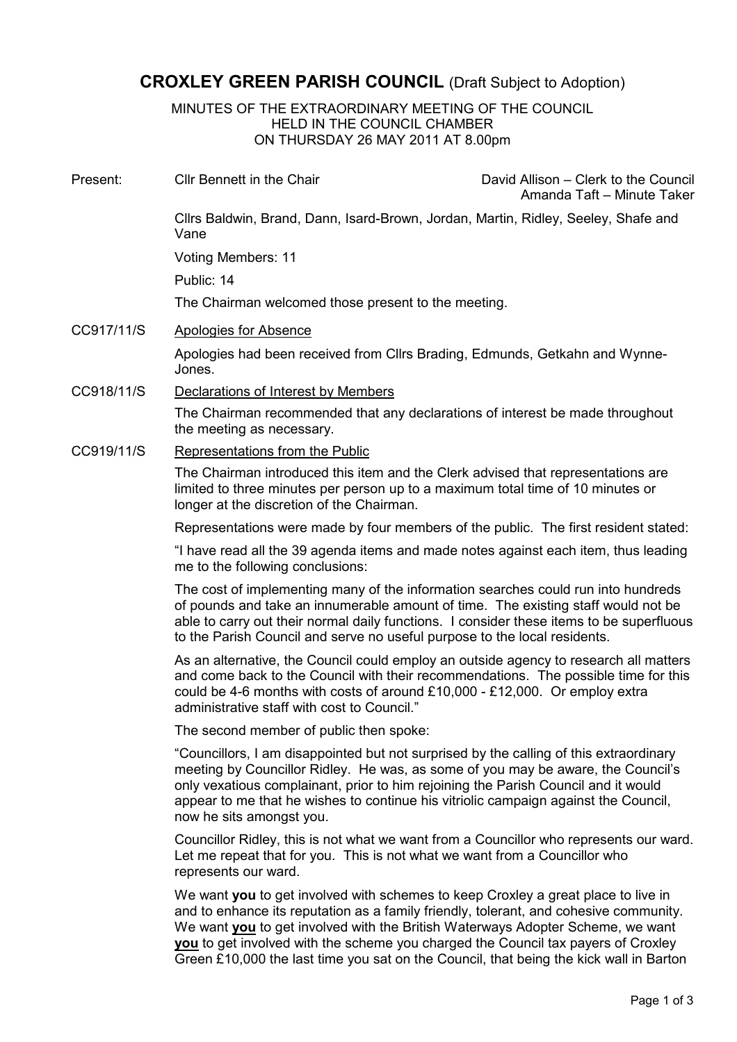## CROXLEY GREEN PARISH COUNCIL (Draft Subject to Adoption)

MINUTES OF THE EXTRAORDINARY MEETING OF THE COUNCIL HELD IN THE COUNCIL CHAMBER ON THURSDAY 26 MAY 2011 AT 8.00pm

Present: Cllr Bennett in the Chair David Allison – Clerk to the Council

Amanda Taft – Minute Taker

Cllrs Baldwin, Brand, Dann, Isard-Brown, Jordan, Martin, Ridley, Seeley, Shafe and Vane

Voting Members: 11

Public: 14

The Chairman welcomed those present to the meeting.

CC917/11/S Apologies for Absence

Apologies had been received from Cllrs Brading, Edmunds, Getkahn and Wynne-Jones.

CC918/11/S Declarations of Interest by Members

The Chairman recommended that any declarations of interest be made throughout the meeting as necessary.

CC919/11/S Representations from the Public

The Chairman introduced this item and the Clerk advised that representations are limited to three minutes per person up to a maximum total time of 10 minutes or longer at the discretion of the Chairman.

Representations were made by four members of the public. The first resident stated:

"I have read all the 39 agenda items and made notes against each item, thus leading me to the following conclusions:

The cost of implementing many of the information searches could run into hundreds of pounds and take an innumerable amount of time. The existing staff would not be able to carry out their normal daily functions. I consider these items to be superfluous to the Parish Council and serve no useful purpose to the local residents.

As an alternative, the Council could employ an outside agency to research all matters and come back to the Council with their recommendations. The possible time for this could be 4-6 months with costs of around £10,000 - £12,000. Or employ extra administrative staff with cost to Council."

The second member of public then spoke:

"Councillors, I am disappointed but not surprised by the calling of this extraordinary meeting by Councillor Ridley. He was, as some of you may be aware, the Council's only vexatious complainant, prior to him rejoining the Parish Council and it would appear to me that he wishes to continue his vitriolic campaign against the Council, now he sits amongst you.

Councillor Ridley, this is not what we want from a Councillor who represents our ward. Let me repeat that for you. This is not what we want from a Councillor who represents our ward.

We want you to get involved with schemes to keep Croxley a great place to live in and to enhance its reputation as a family friendly, tolerant, and cohesive community. We want you to get involved with the British Waterways Adopter Scheme, we want you to get involved with the scheme you charged the Council tax payers of Croxley Green £10,000 the last time you sat on the Council, that being the kick wall in Barton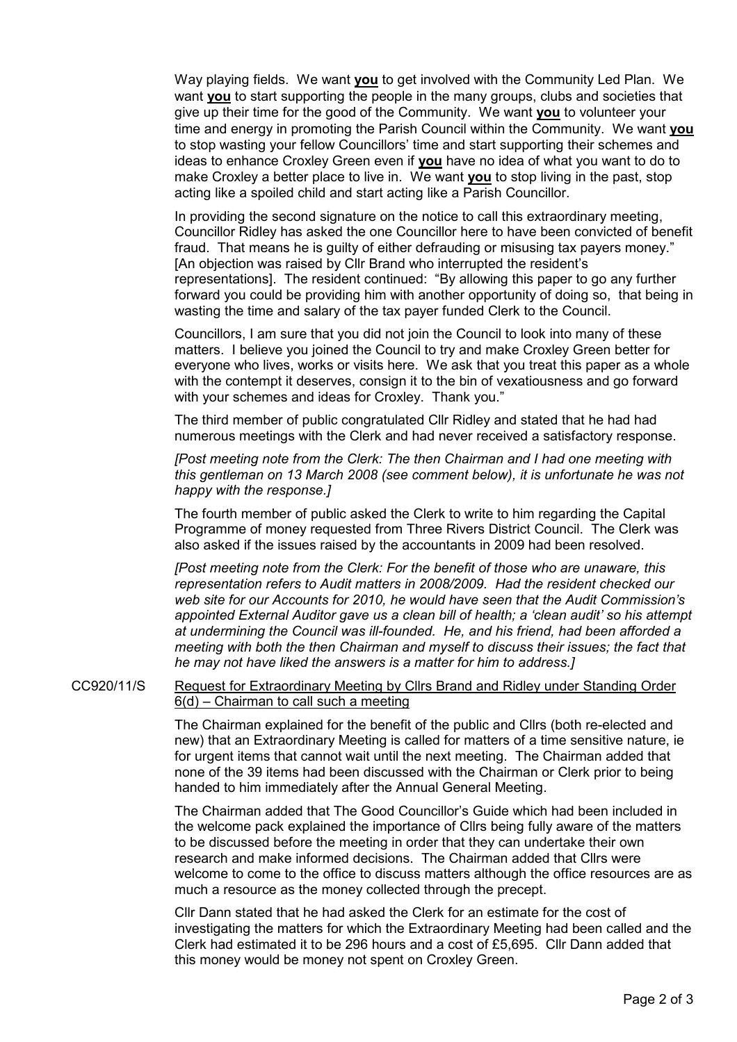Way playing fields. We want you to get involved with the Community Led Plan. We want you to start supporting the people in the many groups, clubs and societies that give up their time for the good of the Community. We want you to volunteer your time and energy in promoting the Parish Council within the Community. We want you to stop wasting your fellow Councillors' time and start supporting their schemes and ideas to enhance Croxley Green even if you have no idea of what you want to do to make Croxley a better place to live in. We want you to stop living in the past, stop acting like a spoiled child and start acting like a Parish Councillor.

In providing the second signature on the notice to call this extraordinary meeting, Councillor Ridley has asked the one Councillor here to have been convicted of benefit fraud. That means he is guilty of either defrauding or misusing tax payers money." [An objection was raised by Cllr Brand who interrupted the resident's representations]. The resident continued: "By allowing this paper to go any further forward you could be providing him with another opportunity of doing so, that being in wasting the time and salary of the tax payer funded Clerk to the Council.

Councillors, I am sure that you did not join the Council to look into many of these matters. I believe you joined the Council to try and make Croxley Green better for everyone who lives, works or visits here. We ask that you treat this paper as a whole with the contempt it deserves, consign it to the bin of vexatiousness and go forward with your schemes and ideas for Croxley. Thank you."

The third member of public congratulated Cllr Ridley and stated that he had had numerous meetings with the Clerk and had never received a satisfactory response.

[Post meeting note from the Clerk: The then Chairman and I had one meeting with this gentleman on 13 March 2008 (see comment below), it is unfortunate he was not happy with the response.]

The fourth member of public asked the Clerk to write to him regarding the Capital Programme of money requested from Three Rivers District Council. The Clerk was also asked if the issues raised by the accountants in 2009 had been resolved.

[Post meeting note from the Clerk: For the benefit of those who are unaware, this representation refers to Audit matters in 2008/2009. Had the resident checked our web site for our Accounts for 2010, he would have seen that the Audit Commission's appointed External Auditor gave us a clean bill of health; a 'clean audit' so his attempt at undermining the Council was ill-founded. He, and his friend, had been afforded a meeting with both the then Chairman and myself to discuss their issues; the fact that he may not have liked the answers is a matter for him to address.]

CC920/11/S Request for Extraordinary Meeting by Cllrs Brand and Ridley under Standing Order 6(d) – Chairman to call such a meeting

> The Chairman explained for the benefit of the public and Cllrs (both re-elected and new) that an Extraordinary Meeting is called for matters of a time sensitive nature, ie for urgent items that cannot wait until the next meeting. The Chairman added that none of the 39 items had been discussed with the Chairman or Clerk prior to being handed to him immediately after the Annual General Meeting.

The Chairman added that The Good Councillor's Guide which had been included in the welcome pack explained the importance of Cllrs being fully aware of the matters to be discussed before the meeting in order that they can undertake their own research and make informed decisions. The Chairman added that Cllrs were welcome to come to the office to discuss matters although the office resources are as much a resource as the money collected through the precept.

Cllr Dann stated that he had asked the Clerk for an estimate for the cost of investigating the matters for which the Extraordinary Meeting had been called and the Clerk had estimated it to be 296 hours and a cost of £5,695. Cllr Dann added that this money would be money not spent on Croxley Green.